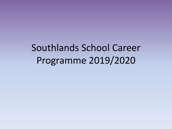Southlands School Career Programme 2019/2020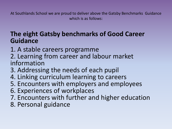At Southlands School we are proud to deliver above the Gatsby Benchmarks Guidance which is as follows:

#### **The eight Gatsby benchmarks of Good Career Guidance**

- 1. A stable careers programme
- 2. Learning from career and labour market information
- 3. Addressing the needs of each pupil
- 4. Linking curriculum learning to careers
- 5. Encounters with employers and employees
- 6. Experiences of workplaces
- 7. Encounters with further and higher education
- 8. Personal guidance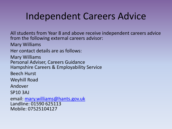# Independent Careers Advice

All students from Year 8 and above receive independent careers advice from the following external careers advisor:

Mary Williams

Her contact details are as follows:

Mary Williams Personal Adviser, Careers Guidance

Hampshire Careers & Employability Service

Beech Hurst

Weyhill Road

Andover

SP10 3AJ

email: [mary.williams@hants.gov.uk](mailto:mary.williams@hants.gov.uk) Landline: 01590 625113 Mobile: 07525104127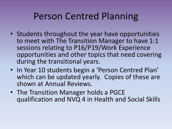# Person Centred Planning

- Students throughout the year have opportunities to meet with The Transition Manager to have 1:1 sessions relating to P16/P19/Work Experience opportunities and other topics that need covering during the transitional years.
- In Year 10 students begin a 'Person Centred Plan' which can be updated yearly. Copies of these are shown at Annual Reviews.
- The Transition Manager holds a PGCE qualification and NVQ 4 in Health and Social Skills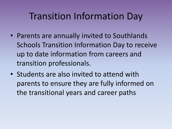# Transition Information Day

- Parents are annually invited to Southlands Schools Transition Information Day to receive up to date information from careers and transition professionals.
- Students are also invited to attend with parents to ensure they are fully informed on the transitional years and career paths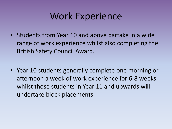# Work Experience

- Students from Year 10 and above partake in a wide range of work experience whilst also completing the British Safety Council Award.
- Year 10 students generally complete one morning or afternoon a week of work experience for 6-8 weeks whilst those students in Year 11 and upwards will undertake block placements.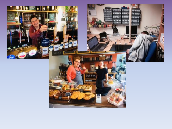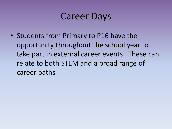# Career Days

• Students from Primary to P16 have the opportunity throughout the school year to take part in external career events. These can relate to both STEM and a broad range of career paths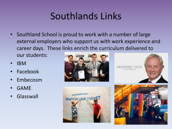# Southlands Links

• Southland School is proud to work with a number of large external employers who support us with work experience and career days. These links enrich the curriculum delivered to

our students:

- IBM
- **Facebook**
- Embecosm
- GAME
- Glasswall







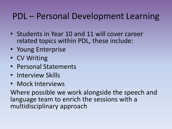#### PDL – Personal Development Learning

- Students in Year 10 and 11 will cover career related topics within PDL, these include:
- Young Enterprise
- CV Writing
- Personal Statements
- Interview Skills
- Mock Interviews

Where possible we work alongside the speech and language team to enrich the sessions with a multidisciplinary approach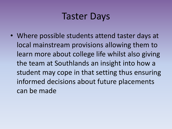# Taster Days

• Where possible students attend taster days at local mainstream provisions allowing them to learn more about college life whilst also giving the team at Southlands an insight into how a student may cope in that setting thus ensuring informed decisions about future placements can be made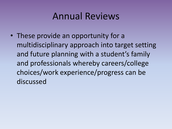## Annual Reviews

• These provide an opportunity for a multidisciplinary approach into target setting and future planning with a student's family and professionals whereby careers/college choices/work experience/progress can be discussed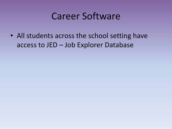

• All students across the school setting have access to JED – Job Explorer Database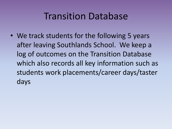#### Transition Database

• We track students for the following 5 years after leaving Southlands School. We keep a log of outcomes on the Transition Database which also records all key information such as students work placements/career days/taster days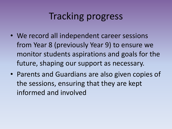# Tracking progress

- We record all independent career sessions from Year 8 (previously Year 9) to ensure we monitor students aspirations and goals for the future, shaping our support as necessary.
- Parents and Guardians are also given copies of the sessions, ensuring that they are kept informed and involved